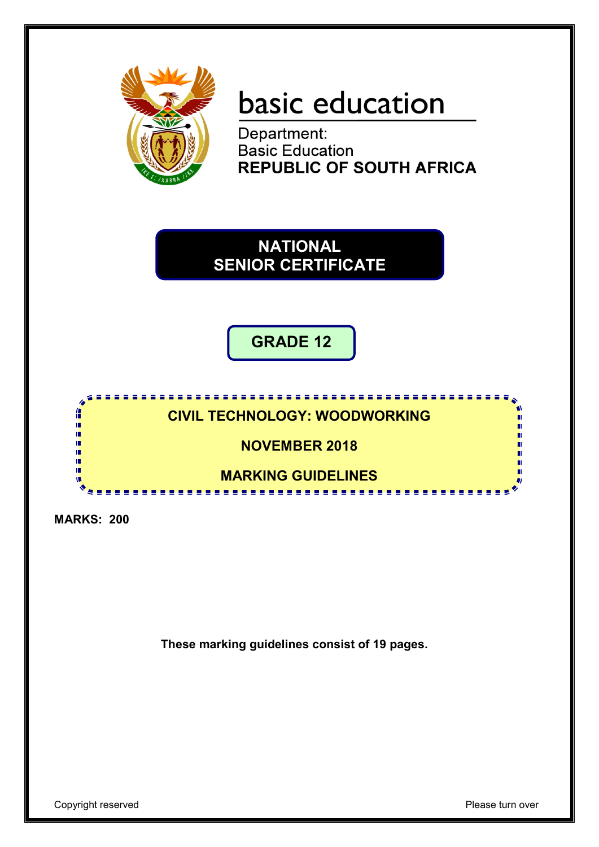

# basic education

Department: **Basic Education<br>REPUBLIC OF SOUTH AFRICA** 

**NATIONAL SENIOR CERTIFICATE**

**GRADE 12**

**CIVIL TECHNOLOGY: WOODWORKING**

**NOVEMBER 2018**

**MARKING GUIDELINES** <u>...................</u>

**MARKS: 200**

i, 庫 ú, ú ú  $\mathbf u$ 

**These marking guidelines consist of 19 pages.**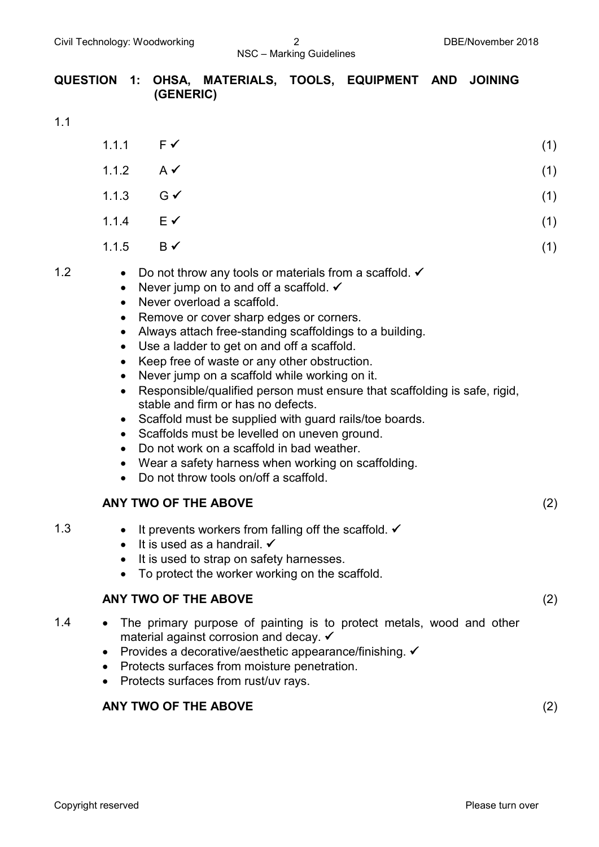# **QUESTION 1: OHSA, MATERIALS, TOOLS, EQUIPMENT AND JOINING (GENERIC)**

1.1

|     | 1.1.1                                                                                                                                                    | F✔                                                                                                                                                                                                                                                                                                                                                                                                                                                                                                                                                                                                                                                                                                                                                                                 | (1) |
|-----|----------------------------------------------------------------------------------------------------------------------------------------------------------|------------------------------------------------------------------------------------------------------------------------------------------------------------------------------------------------------------------------------------------------------------------------------------------------------------------------------------------------------------------------------------------------------------------------------------------------------------------------------------------------------------------------------------------------------------------------------------------------------------------------------------------------------------------------------------------------------------------------------------------------------------------------------------|-----|
|     | 1.1.2                                                                                                                                                    | $A \vee$                                                                                                                                                                                                                                                                                                                                                                                                                                                                                                                                                                                                                                                                                                                                                                           | (1) |
|     | 1.1.3                                                                                                                                                    | $G \checkmark$                                                                                                                                                                                                                                                                                                                                                                                                                                                                                                                                                                                                                                                                                                                                                                     | (1) |
|     | 1.1.4                                                                                                                                                    | $E \checkmark$                                                                                                                                                                                                                                                                                                                                                                                                                                                                                                                                                                                                                                                                                                                                                                     | (1) |
|     | 1.1.5                                                                                                                                                    | $B \checkmark$                                                                                                                                                                                                                                                                                                                                                                                                                                                                                                                                                                                                                                                                                                                                                                     | (1) |
| 1.2 | $\bullet$<br>$\bullet$<br>$\bullet$<br>$\bullet$<br>$\bullet$<br>$\bullet$<br>$\bullet$<br>$\bullet$<br>$\bullet$<br>$\bullet$<br>$\bullet$<br>$\bullet$ | Do not throw any tools or materials from a scaffold. $\checkmark$<br>Never jump on to and off a scaffold. $\checkmark$<br>Never overload a scaffold.<br>Remove or cover sharp edges or corners.<br>Always attach free-standing scaffoldings to a building.<br>Use a ladder to get on and off a scaffold.<br>Keep free of waste or any other obstruction.<br>Never jump on a scaffold while working on it.<br>Responsible/qualified person must ensure that scaffolding is safe, rigid,<br>stable and firm or has no defects.<br>Scaffold must be supplied with guard rails/toe boards.<br>Scaffolds must be levelled on uneven ground.<br>Do not work on a scaffold in bad weather.<br>Wear a safety harness when working on scaffolding.<br>Do not throw tools on/off a scaffold. |     |
|     |                                                                                                                                                          | ANY TWO OF THE ABOVE                                                                                                                                                                                                                                                                                                                                                                                                                                                                                                                                                                                                                                                                                                                                                               | (2) |
| 1.3 | $\bullet$<br>$\bullet$                                                                                                                                   | It prevents workers from falling off the scaffold. $\checkmark$<br>It is used as a handrail. $\checkmark$                                                                                                                                                                                                                                                                                                                                                                                                                                                                                                                                                                                                                                                                          |     |

- It is used to strap on safety harnesses.
- To protect the worker working on the scaffold.

# **ANY TWO OF THE ABOVE** (2)

- 1.4 The primary purpose of painting is to protect metals, wood and other material against corrosion and decay. ✔
	- Provides a decorative/aesthetic appearance/finishing.  $\checkmark$
	- Protects surfaces from moisture penetration.
	- Protects surfaces from rust/uv rays.

# **ANY TWO OF THE ABOVE** (2)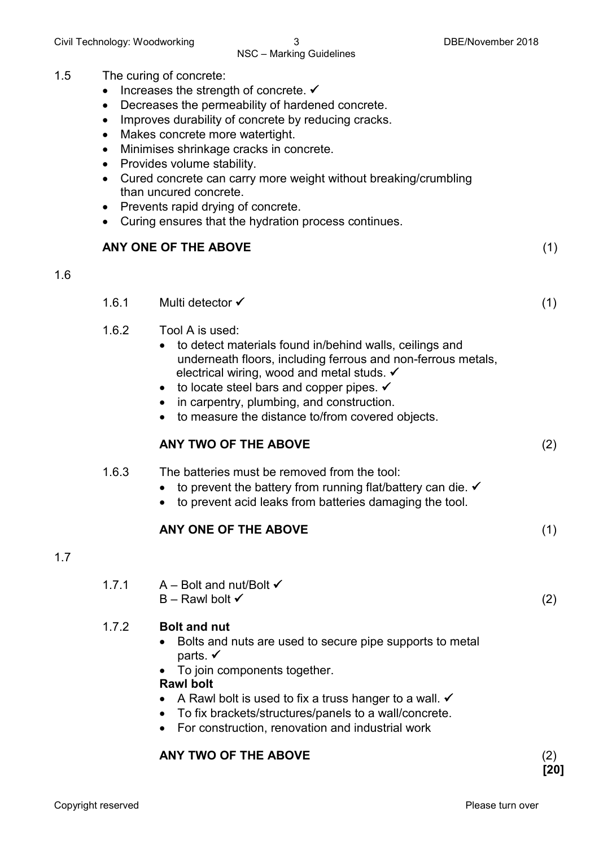#### 1.5 The curing of concrete:

- Increases the strength of concrete.  $\checkmark$
- Decreases the permeability of hardened concrete.
- Improves durability of concrete by reducing cracks.
- Makes concrete more watertight.
- Minimises shrinkage cracks in concrete.
- Provides volume stability.
- Cured concrete can carry more weight without breaking/crumbling than uncured concrete.
- Prevents rapid drying of concrete.
- Curing ensures that the hydration process continues.

# **ANY ONE OF THE ABOVE** (1)

#### 1.6

- 1.6.1 Multi detector (1)
- 1.6.2 Tool A is used:
	- to detect materials found in/behind walls, ceilings and underneath floors, including ferrous and non-ferrous metals, electrical wiring, wood and metal studs.  $\checkmark$
	- to locate steel bars and copper pipes.  $\checkmark$
	- in carpentry, plumbing, and construction.
	- to measure the distance to/from covered objects.

# **ANY TWO OF THE ABOVE** (2)

#### 1.6.3 The batteries must be removed from the tool:

- to prevent the battery from running flat/battery can die.  $\checkmark$
- to prevent acid leaks from batteries damaging the tool.

#### **ANY ONE OF THE ABOVE** (1)

# 1.7

- 1.7.1 A Bolt and nut/Bolt   $B -$ Rawl bolt  $\checkmark$  (2) 1.7.2 **Bolt and nut** • Bolts and nuts are used to secure pipe supports to metal parts.  $\checkmark$ • To join components together. **Rawl bolt**
	- A Rawl bolt is used to fix a truss hanger to a wall.  $\checkmark$
	- To fix brackets/structures/panels to a wall/concrete.
	- For construction, renovation and industrial work

# **ANY TWO OF THE ABOVE** (2)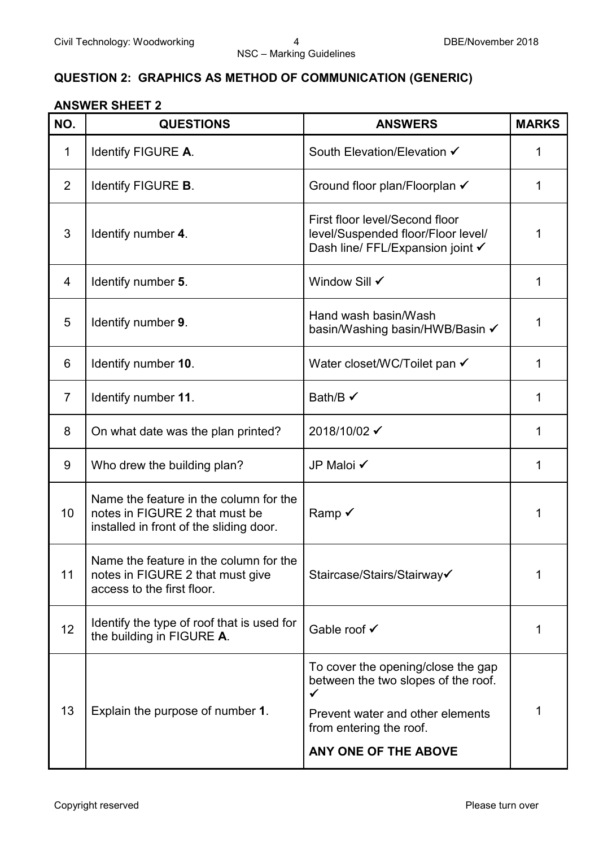# **QUESTION 2: GRAPHICS AS METHOD OF COMMUNICATION (GENERIC)**

#### **ANSWER SHEET 2**

| NO.            | <b>QUESTIONS</b>                                                                                                    | <b>ANSWERS</b>                                                                                                                                                        | <b>MARKS</b> |
|----------------|---------------------------------------------------------------------------------------------------------------------|-----------------------------------------------------------------------------------------------------------------------------------------------------------------------|--------------|
| 1              | Identify FIGURE A.                                                                                                  | South Elevation/Elevation √                                                                                                                                           | 1            |
| 2              | Identify FIGURE B.                                                                                                  | Ground floor plan/Floorplan ✔                                                                                                                                         | 1            |
| 3              | Identify number 4.                                                                                                  | First floor level/Second floor<br>level/Suspended floor/Floor level/<br>Dash line/ FFL/Expansion joint √                                                              | 1            |
| 4              | Identify number 5.                                                                                                  | Window Sill √                                                                                                                                                         | 1            |
| 5              | Identify number 9.                                                                                                  | Hand wash basin/Wash<br>basin/Washing basin/HWB/Basin ✔                                                                                                               | 1            |
| 6              | Identify number 10.                                                                                                 | Water closet/WC/Toilet pan √                                                                                                                                          | 1            |
| $\overline{7}$ | Identify number 11.                                                                                                 | Bath/B $\checkmark$                                                                                                                                                   | 1            |
| 8              | On what date was the plan printed?                                                                                  | 2018/10/02 ✔                                                                                                                                                          | 1            |
| 9              | Who drew the building plan?                                                                                         | JP Maloi √                                                                                                                                                            | 1            |
| 10             | Name the feature in the column for the<br>notes in FIGURE 2 that must be<br>installed in front of the sliding door. | Ramp √                                                                                                                                                                | 1            |
| 11             | Name the feature in the column for the<br>notes in FIGURE 2 that must give<br>access to the first floor.            | Staircase/Stairs/Stairway√                                                                                                                                            | 1            |
| 12             | Identify the type of roof that is used for<br>the building in FIGURE A.                                             | Gable roof √                                                                                                                                                          | 1            |
| 13             | Explain the purpose of number 1.                                                                                    | To cover the opening/close the gap<br>between the two slopes of the roof.<br>✓<br>Prevent water and other elements<br>from entering the roof.<br>ANY ONE OF THE ABOVE | 1            |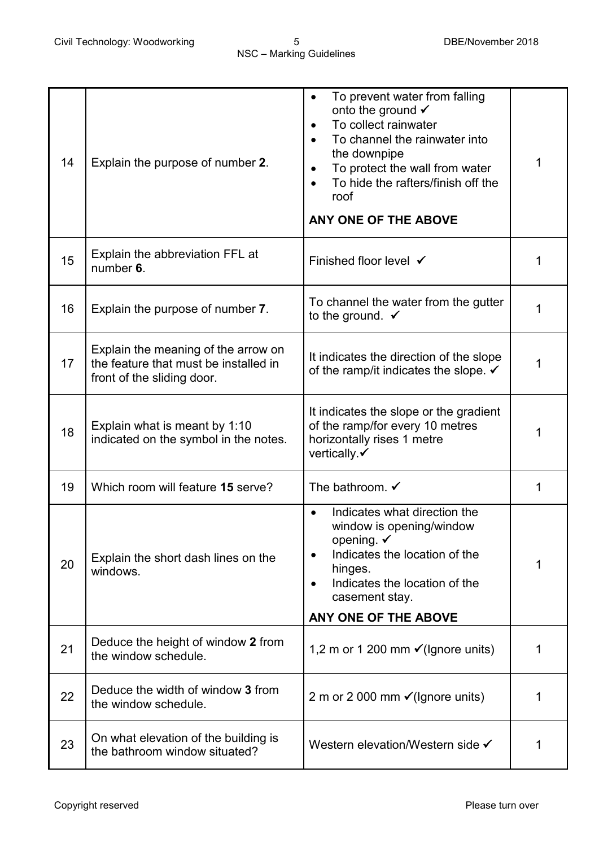| 14 | Explain the purpose of number 2.                                                                           | To prevent water from falling<br>onto the ground √<br>To collect rainwater<br>To channel the rainwater into<br>the downpipe<br>To protect the wall from water<br>To hide the rafters/finish off the<br>roof<br>ANY ONE OF THE ABOVE | 1 |
|----|------------------------------------------------------------------------------------------------------------|-------------------------------------------------------------------------------------------------------------------------------------------------------------------------------------------------------------------------------------|---|
| 15 | Explain the abbreviation FFL at<br>number 6.                                                               | Finished floor level √                                                                                                                                                                                                              |   |
| 16 | Explain the purpose of number 7.                                                                           | To channel the water from the gutter<br>to the ground. $\checkmark$                                                                                                                                                                 |   |
| 17 | Explain the meaning of the arrow on<br>the feature that must be installed in<br>front of the sliding door. | It indicates the direction of the slope<br>of the ramp/it indicates the slope. $\checkmark$                                                                                                                                         | 1 |
| 18 | Explain what is meant by 1:10<br>indicated on the symbol in the notes.                                     | It indicates the slope or the gradient<br>of the ramp/for every 10 metres<br>horizontally rises 1 metre<br>vertically.√                                                                                                             | 1 |
| 19 | Which room will feature 15 serve?                                                                          | The bathroom. $\checkmark$                                                                                                                                                                                                          | 1 |
| 20 | Explain the short dash lines on the<br>windows.                                                            | Indicates what direction the<br>window is opening/window<br>opening. $\checkmark$<br>Indicates the location of the<br>hinges.<br>Indicates the location of the<br>casement stay.<br>ANY ONE OF THE ABOVE                            | 1 |
| 21 | Deduce the height of window 2 from<br>the window schedule.                                                 | 1,2 m or 1 200 mm $\checkmark$ (Ignore units)                                                                                                                                                                                       | 1 |
| 22 | Deduce the width of window 3 from<br>the window schedule.                                                  | 2 m or 2 000 mm $\checkmark$ (Ignore units)                                                                                                                                                                                         | 1 |
| 23 | On what elevation of the building is<br>the bathroom window situated?                                      | Western elevation/Western side √                                                                                                                                                                                                    | 1 |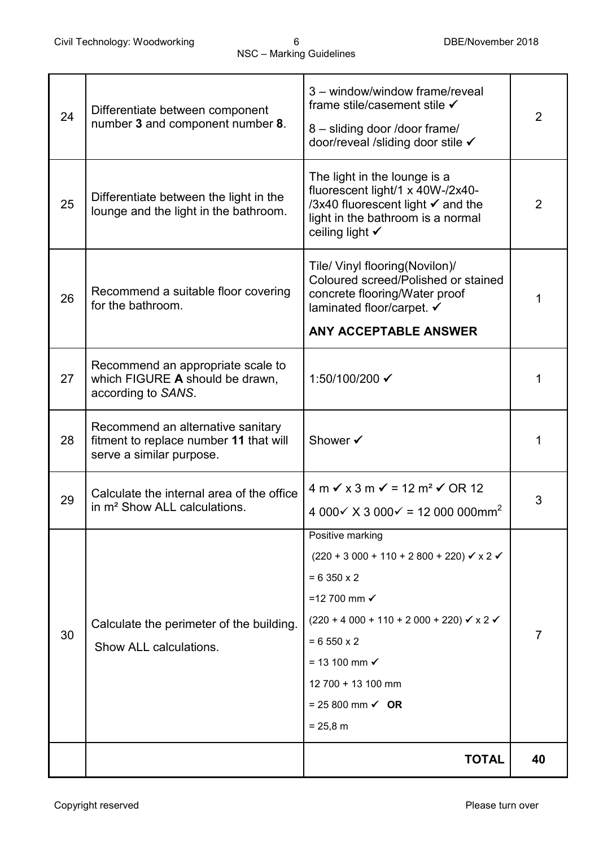| 24 | Differentiate between component<br>number 3 and component number 8.                                     | 3 - window/window frame/reveal<br>frame stile/casement stile √<br>8 - sliding door /door frame/<br>door/reveal /sliding door stile ✔                                | $\overline{2}$ |
|----|---------------------------------------------------------------------------------------------------------|---------------------------------------------------------------------------------------------------------------------------------------------------------------------|----------------|
| 25 | Differentiate between the light in the<br>lounge and the light in the bathroom.                         | The light in the lounge is a<br>fluorescent light/1 x 40W-/2x40-<br>/3x40 fluorescent light √ and the<br>light in the bathroom is a normal<br>ceiling light √       | $\overline{2}$ |
| 26 | Recommend a suitable floor covering<br>for the bathroom.                                                | Tile/ Vinyl flooring(Novilon)/<br>Coloured screed/Polished or stained<br>concrete flooring/Water proof<br>laminated floor/carpet. ✔<br><b>ANY ACCEPTABLE ANSWER</b> | 1              |
|    |                                                                                                         |                                                                                                                                                                     |                |
| 27 | Recommend an appropriate scale to<br>which FIGURE A should be drawn,<br>according to SANS.              | 1:50/100/200 ✔                                                                                                                                                      | 1              |
| 28 | Recommend an alternative sanitary<br>fitment to replace number 11 that will<br>serve a similar purpose. | Shower ✔                                                                                                                                                            | 1              |
|    |                                                                                                         | $4 m \checkmark$ x 3 m $\checkmark$ = 12 m <sup>2</sup> $\checkmark$ OR 12                                                                                          |                |
| 29 | Calculate the internal area of the office<br>in m <sup>2</sup> Show ALL calculations.                   | 4 000 $\times$ X 3 000 $\times$ = 12 000 000mm <sup>2</sup>                                                                                                         | 3              |
|    |                                                                                                         |                                                                                                                                                                     |                |
|    |                                                                                                         | Positive marking                                                                                                                                                    |                |
|    |                                                                                                         | $(220 + 3000 + 110 + 2800 + 220)$ $\checkmark$ x 2 $\checkmark$                                                                                                     |                |
|    |                                                                                                         | $= 6350 \times 2$                                                                                                                                                   |                |
|    |                                                                                                         | =12 700 mm $\checkmark$                                                                                                                                             |                |
| 30 | Calculate the perimeter of the building.                                                                | $(220 + 4000 + 110 + 2000 + 220)$ $\checkmark$ x 2 $\checkmark$                                                                                                     | $\overline{7}$ |
|    | Show ALL calculations.                                                                                  | $= 6550 \times 2$<br>$= 13 100$ mm $\checkmark$                                                                                                                     |                |
|    |                                                                                                         | 12 700 + 13 100 mm                                                                                                                                                  |                |
|    |                                                                                                         | $= 25800$ mm $\checkmark$ OR                                                                                                                                        |                |
|    |                                                                                                         | $= 25.8 m$                                                                                                                                                          |                |
|    |                                                                                                         |                                                                                                                                                                     |                |
|    |                                                                                                         | <b>TOTAL</b>                                                                                                                                                        | 40             |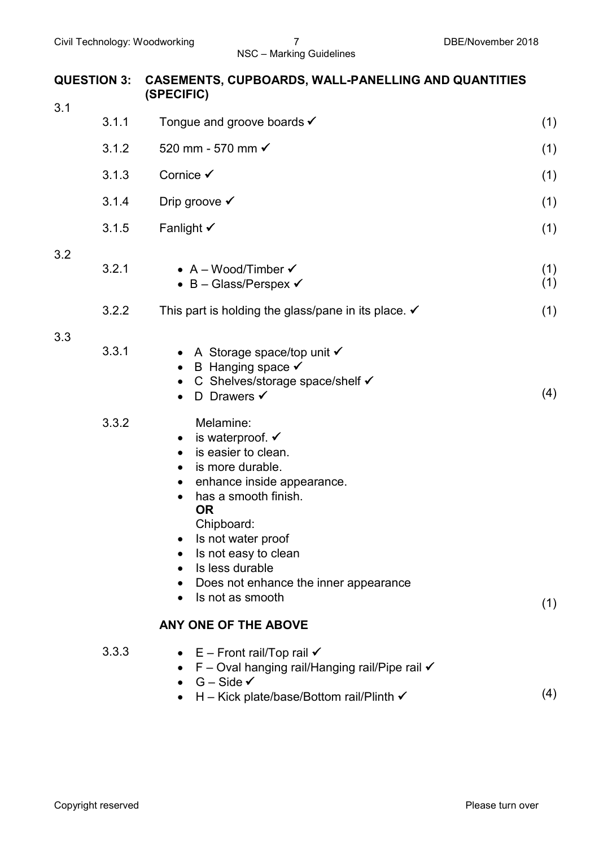| <b>QUESTION 3:</b> | <b>CASEMENTS, CUPBOARDS, WALL-PANELLING AND QUANTITIES</b><br>(SPECIFIC)                                                                                                                                                                                                                                        |            |  |  |
|--------------------|-----------------------------------------------------------------------------------------------------------------------------------------------------------------------------------------------------------------------------------------------------------------------------------------------------------------|------------|--|--|
| 3.1<br>3.1.1       | Tongue and groove boards $\checkmark$                                                                                                                                                                                                                                                                           | (1)        |  |  |
| 3.1.2              | 520 mm - 570 mm √                                                                                                                                                                                                                                                                                               |            |  |  |
|                    |                                                                                                                                                                                                                                                                                                                 | (1)        |  |  |
| 3.1.3              | Cornice <del>√</del>                                                                                                                                                                                                                                                                                            | (1)        |  |  |
| 3.1.4              | Drip groove $\checkmark$                                                                                                                                                                                                                                                                                        | (1)        |  |  |
| 3.1.5              | Fanlight $\checkmark$                                                                                                                                                                                                                                                                                           | (1)        |  |  |
| 3.2<br>3.2.1       | • $A - Wood/Timber \checkmark$<br>• B – Glass/Perspex $\checkmark$                                                                                                                                                                                                                                              | (1)<br>(1) |  |  |
| 3.2.2              | This part is holding the glass/pane in its place. $\checkmark$                                                                                                                                                                                                                                                  | (1)        |  |  |
| 3.3<br>3.3.1       | • A Storage space/top unit $\checkmark$<br>B Hanging space $\checkmark$<br>C Shelves/storage space/shelf ✔<br>D Drawers $\checkmark$                                                                                                                                                                            | (4)        |  |  |
| 3.3.2              | Melamine:<br>is waterproof. $\checkmark$<br>is easier to clean.<br>is more durable.<br>$\bullet$<br>enhance inside appearance.<br>has a smooth finish.<br><b>OR</b><br>Chipboard:<br>Is not water proof<br>Is not easy to clean<br>Is less durable<br>Does not enhance the inner appearance<br>Is not as smooth | (1)        |  |  |
|                    | ANY ONE OF THE ABOVE                                                                                                                                                                                                                                                                                            |            |  |  |
| 3.3.3              | E – Front rail/Top rail $\checkmark$<br>F - Oval hanging rail/Hanging rail/Pipe rail √<br>$G - Side \checkmark$<br>H – Kick plate/base/Bottom rail/Plinth $\checkmark$                                                                                                                                          | (4)        |  |  |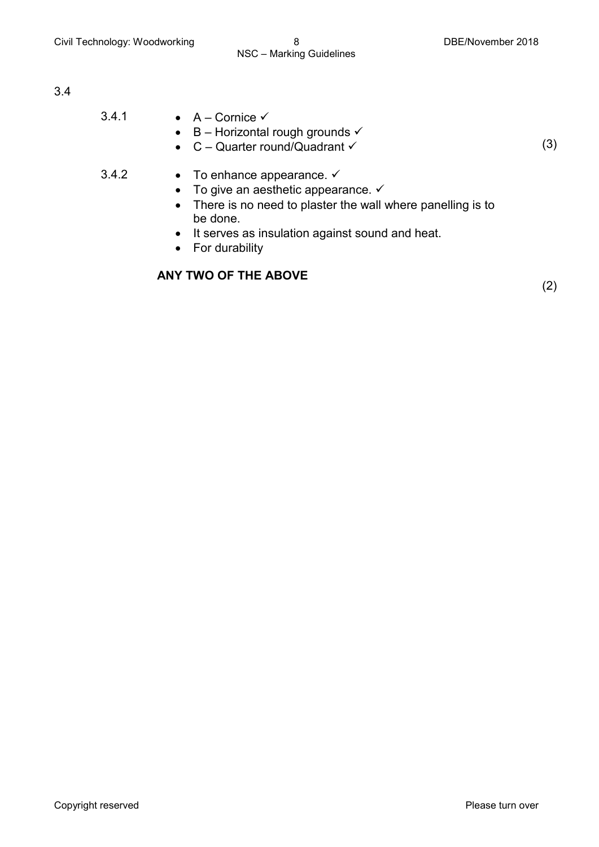| 3.4.1 | • $A -$ Cornice $\checkmark$<br>• B – Horizontal rough grounds $\checkmark$<br>• $C -$ Quarter round/Quadrant $\checkmark$                                           | (3) |
|-------|----------------------------------------------------------------------------------------------------------------------------------------------------------------------|-----|
| 3.4.2 | • To enhance appearance. $\checkmark$<br>• To give an aesthetic appearance. $\checkmark$<br>• There is no need to plaster the wall where panelling is to<br>be done. |     |

- It serves as insulation against sound and heat.
- For durability

## **ANY TWO OF THE ABOVE**

(2)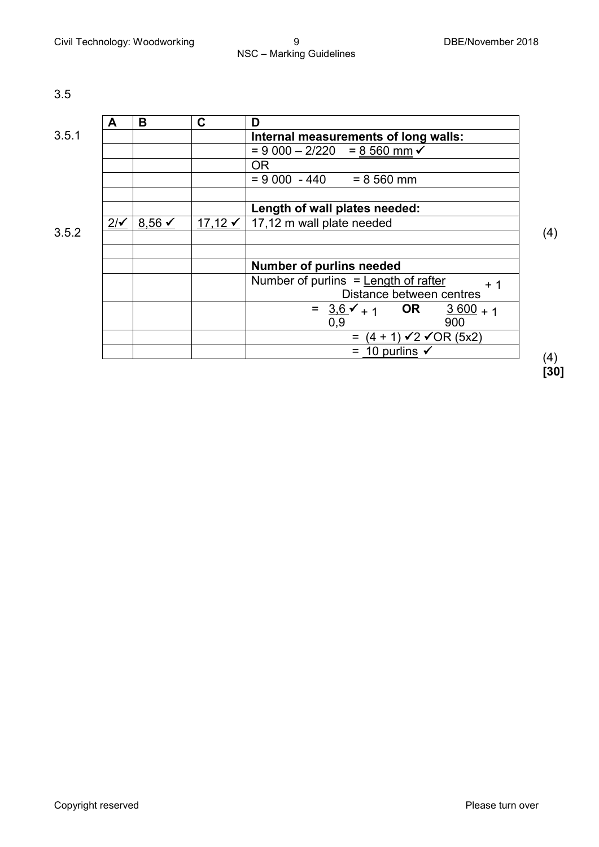|       | A              | B                 | C         | D                                                 |
|-------|----------------|-------------------|-----------|---------------------------------------------------|
| 3.5.1 |                |                   |           | Internal measurements of long walls:              |
|       |                |                   |           | $= 9000 - 2/220 = 8560$ mm $\checkmark$           |
|       |                |                   |           | <b>OR</b>                                         |
|       |                |                   |           | $= 9000 - 440 = 8560$ mm                          |
|       |                |                   |           |                                                   |
|       |                |                   |           | Length of wall plates needed:                     |
|       | $2/\checkmark$ | $8.56 \checkmark$ | $17,12$ ✓ | 17,12 m wall plate needed                         |
| 3.5.2 |                |                   |           |                                                   |
|       |                |                   |           |                                                   |
|       |                |                   |           | <b>Number of purlins needed</b>                   |
|       |                |                   |           | Number of purlins $=$ Length of rafter<br>$+1$    |
|       |                |                   |           | Distance between centres                          |
|       |                |                   |           | = $3.6 \checkmark$ + 1 OR<br>$\frac{3600}{1}$ + 1 |
|       |                |                   |           | 0,9<br>900                                        |
|       |                |                   |           | = $(4 + 1) \sqrt{2} \sqrt{OR} (5x2)$              |
|       |                |                   |           | 10 purlins $\checkmark$                           |

(4) **[30]**

(4)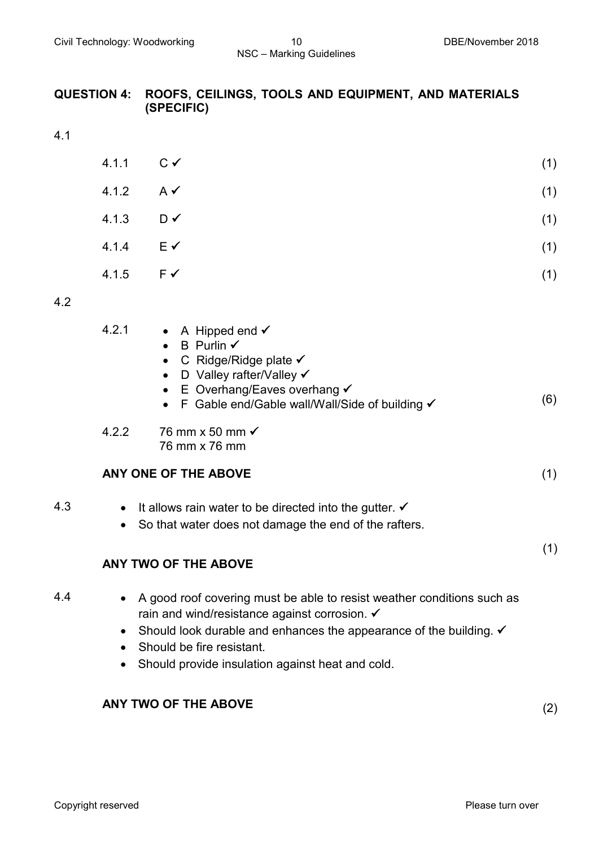### **QUESTION 4: ROOFS, CEILINGS, TOOLS AND EQUIPMENT, AND MATERIALS (SPECIFIC)**

4.1

| $4.1.1$ $C \checkmark$ |                | (1) |
|------------------------|----------------|-----|
| 4.1.2 $A \checkmark$   |                | (1) |
| 4.1.3                  | $D \vee$       | (1) |
| 4.1.4                  | $E \checkmark$ | (1) |
| 4.1.5                  | $F \checkmark$ | (1) |
|                        |                |     |

#### 4.2

| 4.2.1 |  |  | A Hipped end $\checkmark$ |  |
|-------|--|--|---------------------------|--|
|-------|--|--|---------------------------|--|

- $\bullet$  B Purlin  $\checkmark$
- $\bullet$  C Ridge/Ridge plate  $\checkmark$
- D Valley rafter/Valley
- E Overhang/Eaves overhang
- F Gable end/Gable wall/Wall/Side of building  $\times$  (6)
- 4.2.2 76 mm x 50 mm  76 mm x 76 mm

# **ANY ONE OF THE ABOVE** (1)

- 4.3 It allows rain water to be directed into the gutter.  $\checkmark$ 
	- So that water does not damage the end of the rafters.

# **ANY TWO OF THE ABOVE**

- 4.4 A good roof covering must be able to resist weather conditions such as rain and wind/resistance against corrosion. 
	- Should look durable and enhances the appearance of the building.
	- Should be fire resistant.
	- Should provide insulation against heat and cold.

# **ANY TWO OF THE ABOVE** (2)

(1)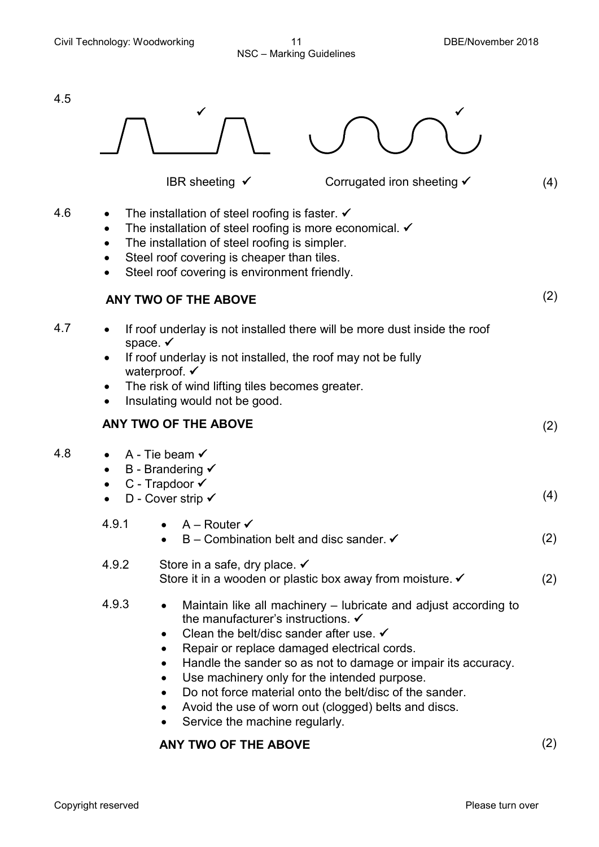

# **ANY TWO OF THE ABOVE** (2)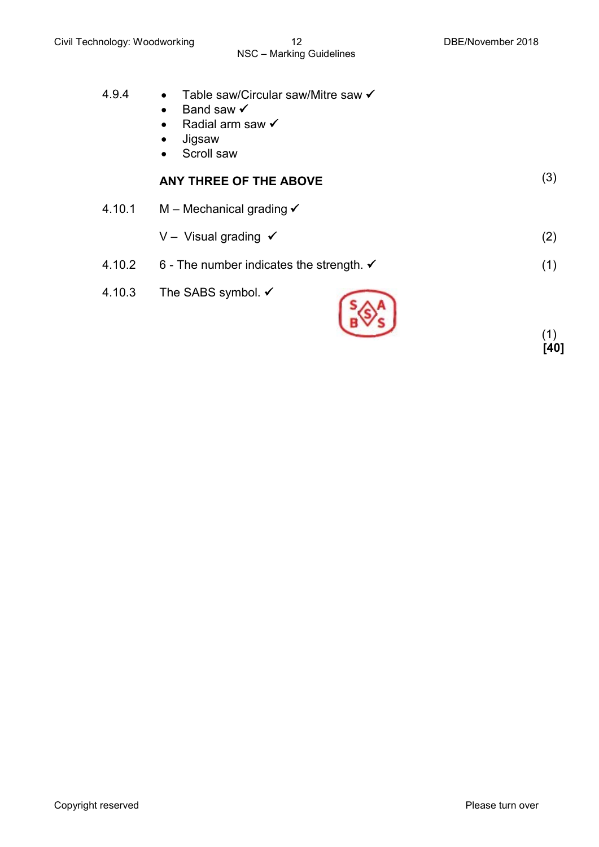(1) **[40]**

| 4.9.4  | Table saw/Circular saw/Mitre saw ✔<br>$\bullet$<br>Band saw $\checkmark$<br>$\bullet$<br>Radial arm saw $\checkmark$<br>$\bullet$<br>Jigsaw<br>$\bullet$<br>Scroll saw<br>$\bullet$ |     |
|--------|-------------------------------------------------------------------------------------------------------------------------------------------------------------------------------------|-----|
|        | ANY THREE OF THE ABOVE                                                                                                                                                              | (3) |
| 4.10.1 | M – Mechanical grading $\checkmark$                                                                                                                                                 |     |
|        | V - Visual grading $\checkmark$                                                                                                                                                     | (2) |
| 4.10.2 | 6 - The number indicates the strength. $\checkmark$                                                                                                                                 | (1) |
| 4.10.3 | The SABS symbol. $\checkmark$                                                                                                                                                       | (1) |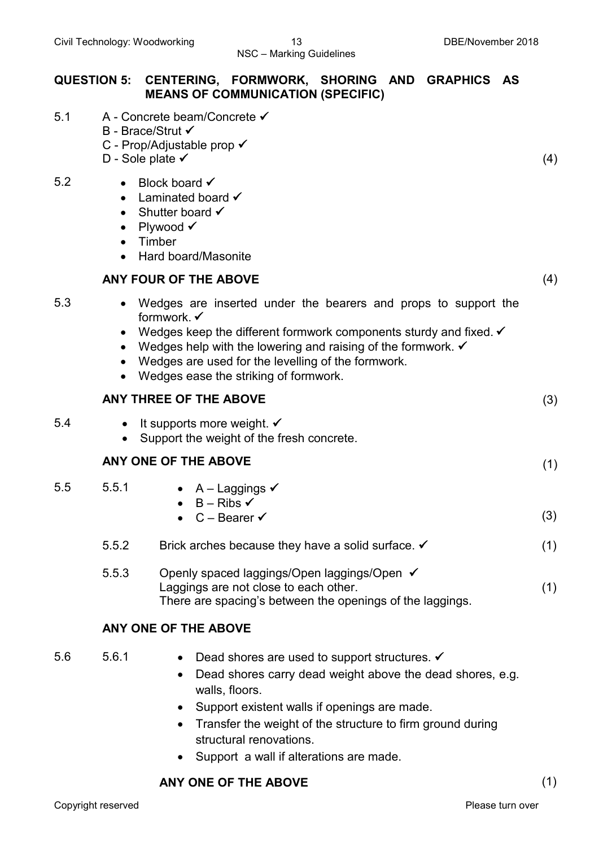|     | QUESTION 5: CENTERING, FORMWORK, SHORING AND GRAPHICS AS<br><b>MEANS OF COMMUNICATION (SPECIFIC)</b>                                                                                                                                                                                                                                          |     |
|-----|-----------------------------------------------------------------------------------------------------------------------------------------------------------------------------------------------------------------------------------------------------------------------------------------------------------------------------------------------|-----|
| 5.1 | A - Concrete beam/Concrete ✔<br>B - Brace/Strut √<br>C - Prop/Adjustable prop √<br>D - Sole plate $\checkmark$                                                                                                                                                                                                                                | (4) |
| 5.2 | Block board √<br>$\bullet$<br>Laminated board $\checkmark$<br>$\bullet$<br>Shutter board $\checkmark$<br>$\bullet$<br>Plywood √<br>$\bullet$<br>Timber<br>$\bullet$<br>Hard board/Masonite<br>$\bullet$                                                                                                                                       |     |
|     | <b>ANY FOUR OF THE ABOVE</b>                                                                                                                                                                                                                                                                                                                  | (4) |
| 5.3 | • Wedges are inserted under the bearers and props to support the<br>formwork. ✔<br>Wedges keep the different formwork components sturdy and fixed. $\checkmark$<br>Wedges help with the lowering and raising of the formwork. $\checkmark$<br>Wedges are used for the levelling of the formwork.<br>Wedges ease the striking of formwork.     |     |
|     | <b>ANY THREE OF THE ABOVE</b>                                                                                                                                                                                                                                                                                                                 | (3) |
| 5.4 | • It supports more weight. $\checkmark$<br>Support the weight of the fresh concrete.<br>$\bullet$                                                                                                                                                                                                                                             |     |
|     | ANY ONE OF THE ABOVE                                                                                                                                                                                                                                                                                                                          | (1) |
| 5.5 | 5.5.1<br>• $A -$ Laggings $\checkmark$<br>$B - Ribs \checkmark$<br>$C - Bearer \checkmark$<br>$\bullet$                                                                                                                                                                                                                                       | (3) |
|     | 5.5.2<br>Brick arches because they have a solid surface. $\checkmark$                                                                                                                                                                                                                                                                         | (1) |
|     | 5.5.3<br>Openly spaced laggings/Open laggings/Open ✔<br>Laggings are not close to each other.<br>There are spacing's between the openings of the laggings.                                                                                                                                                                                    | (1) |
|     | ANY ONE OF THE ABOVE                                                                                                                                                                                                                                                                                                                          |     |
| 5.6 | 5.6.1<br>Dead shores are used to support structures. $\checkmark$<br>$\bullet$<br>Dead shores carry dead weight above the dead shores, e.g.<br>$\bullet$<br>walls, floors.<br>Support existent walls if openings are made.<br>$\bullet$<br>Transfer the weight of the structure to firm ground during<br>$\bullet$<br>structural renovations. |     |

• Support a wall if alterations are made.

# **ANY ONE OF THE ABOVE** (1)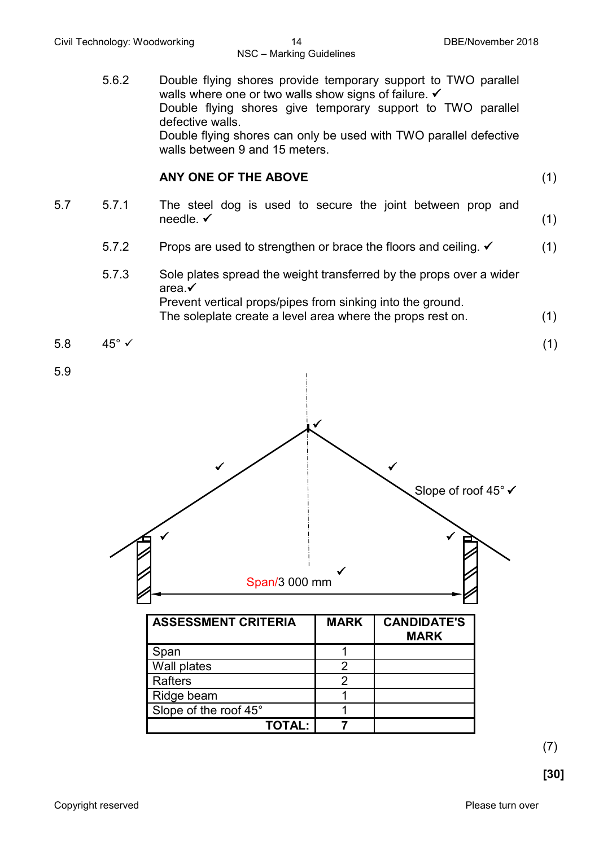5.6.2 Double flying shores provide temporary support to TWO parallel walls where one or two walls show signs of failure.  $\checkmark$ Double flying shores give temporary support to TWO parallel defective walls. Double flying shores can only be used with TWO parallel defective walls between 9 and 15 meters. **ANY ONE OF THE ABOVE** (1) 5.7 5.7.1 The steel dog is used to secure the joint between prop and needle.  $\checkmark$ needle. (1) 5.7.2 Props are used to strengthen or brace the floors and ceiling. (1) 5.7.3 Sole plates spread the weight transferred by the props over a wider area. Prevent vertical props/pipes from sinking into the ground. The soleplate create a level area where the props rest on. (1)  $5.8 \t 45^{\circ} \t \t (1)$ 



**TOTAL: 7**

Wall plates 2 Rafters 2 Ridge beam 1 1 Slope of the roof 45° 1

5.9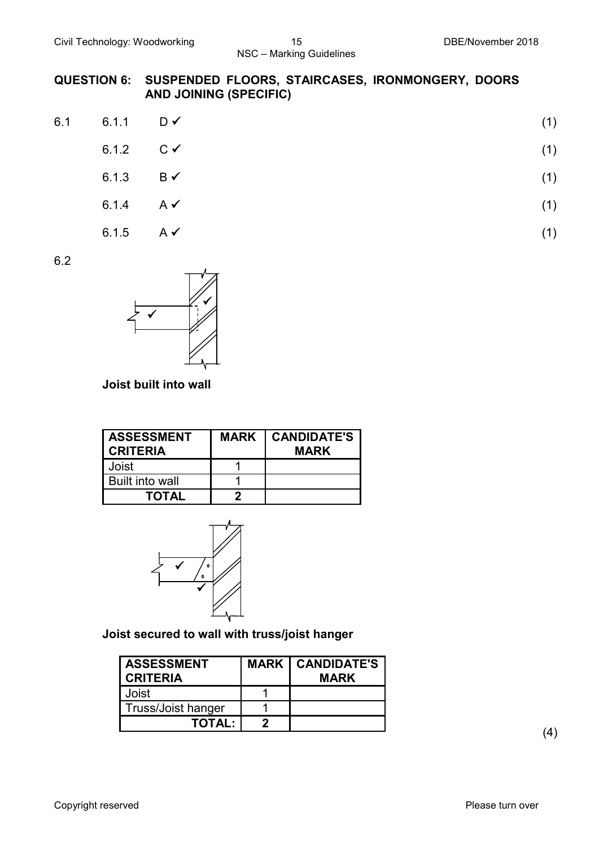#### **QUESTION 6: SUSPENDED FLOORS, STAIRCASES, IRONMONGERY, DOORS AND JOINING (SPECIFIC)**

| 6.1 6.1.1 $D \checkmark$ | (1) |
|--------------------------|-----|
| 6.1.2 $C \checkmark$     | (1) |
| 6.1.3 $B \checkmark$     | (1) |
| $6.1.4$ $A \checkmark$   | (1) |

6.1.5 A (1)

6.2



# **Joist built into wall**

| <b>ASSESSMENT</b><br><b>CRITERIA</b> | <b>MARK   CANDIDATE'S</b><br><b>MARK</b> |
|--------------------------------------|------------------------------------------|
| Joist                                |                                          |
| Built into wall                      |                                          |
| <b>TOTAL</b>                         |                                          |



# **Joist secured to wall with truss/joist hanger**

| <b>ASSESSMENT</b><br><b>CRITERIA</b> | <b>MARK   CANDIDATE'S  </b><br><b>MARK</b> |
|--------------------------------------|--------------------------------------------|
| Joist                                |                                            |
| <b>Truss/Joist hanger</b>            |                                            |
| <b>TOTAL:</b>                        |                                            |

(4)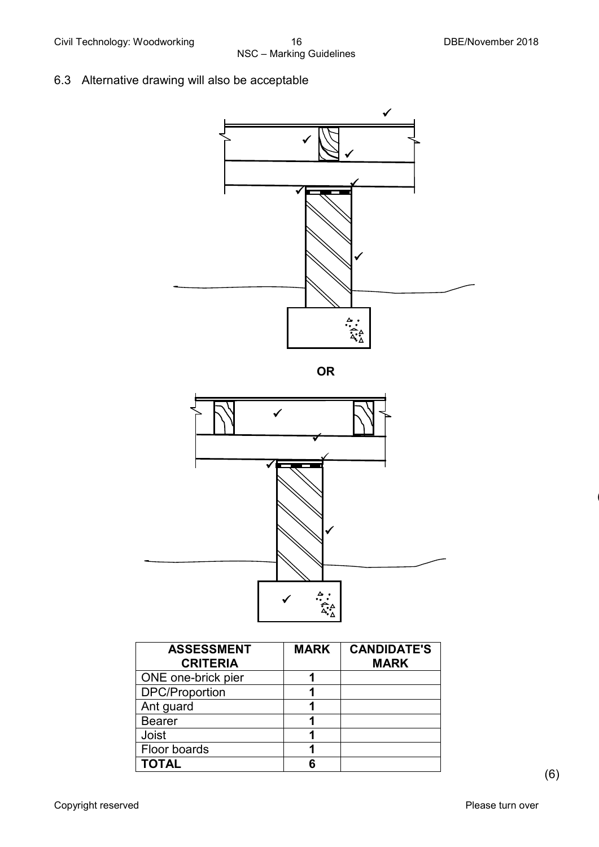6.3 Alternative drawing will also be acceptable



**OR**



| <b>ASSESSMENT</b><br><b>CRITERIA</b> | <b>MARK</b> | <b>CANDIDATE'S</b><br><b>MARK</b> |
|--------------------------------------|-------------|-----------------------------------|
| ONE one-brick pier                   |             |                                   |
| <b>DPC/Proportion</b>                |             |                                   |
| Ant guard                            |             |                                   |
| <b>Bearer</b>                        |             |                                   |
| <b>Joist</b>                         |             |                                   |
| Floor boards                         |             |                                   |
| <b>TOTAL</b>                         |             |                                   |

(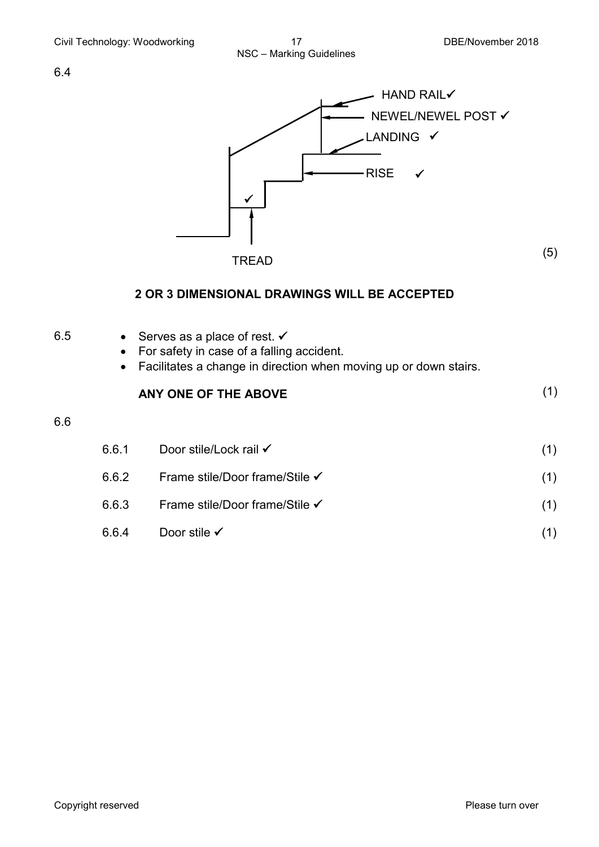

TREAD

(5)

#### **2 OR 3 DIMENSIONAL DRAWINGS WILL BE ACCEPTED**

| 6.5 | $\bullet$<br>$\bullet$ | Serves as a place of rest. $\checkmark$<br>For safety in case of a falling accident.<br>Facilitates a change in direction when moving up or down stairs. |     |
|-----|------------------------|----------------------------------------------------------------------------------------------------------------------------------------------------------|-----|
|     |                        | ANY ONE OF THE ABOVE                                                                                                                                     | (1) |
| 6.6 |                        |                                                                                                                                                          |     |
|     | 6.6.1                  | Door stile/Lock rail √                                                                                                                                   | (1) |
|     | 6.6.2                  | Frame stile/Door frame/Stile ✔                                                                                                                           | (1) |
|     | 6.6.3                  | Frame stile/Door frame/Stile ✔                                                                                                                           | (1) |
|     | 6.6.4                  | Door stile $\checkmark$                                                                                                                                  | (1) |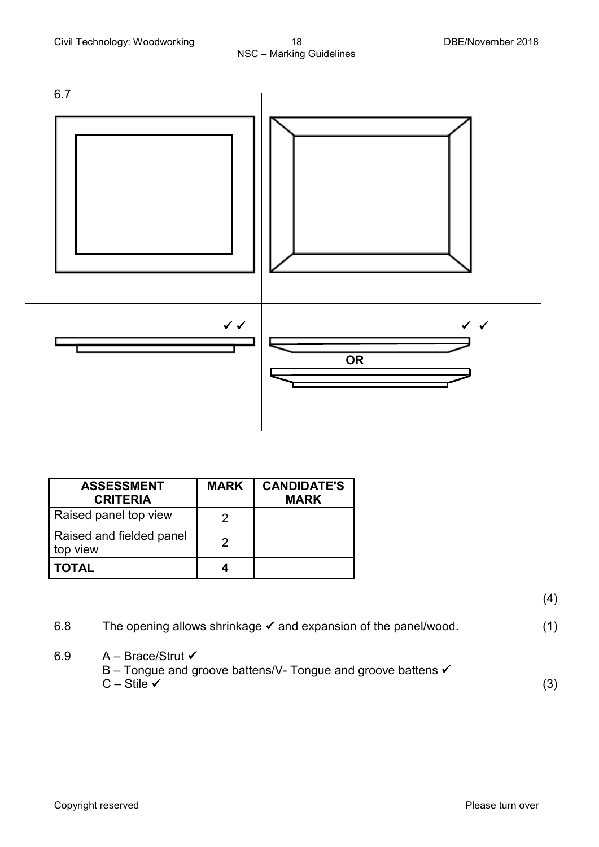

| <b>ASSESSMENT</b><br><b>CRITERIA</b> | <b>MARK</b> | <b>CANDIDATE'S</b><br><b>MARK</b> |
|--------------------------------------|-------------|-----------------------------------|
| Raised panel top view                |             |                                   |
| Raised and fielded panel<br>top view |             |                                   |
| <b>TOTAL</b>                         |             |                                   |

(4)

6.8 The opening allows shrinkage  $\checkmark$  and expansion of the panel/wood. (1) 6.9  $A - Brace/Strut \checkmark$ B – Tongue and groove battens/V- Tongue and groove battens ✔  $C - Stile \checkmark$  (3)